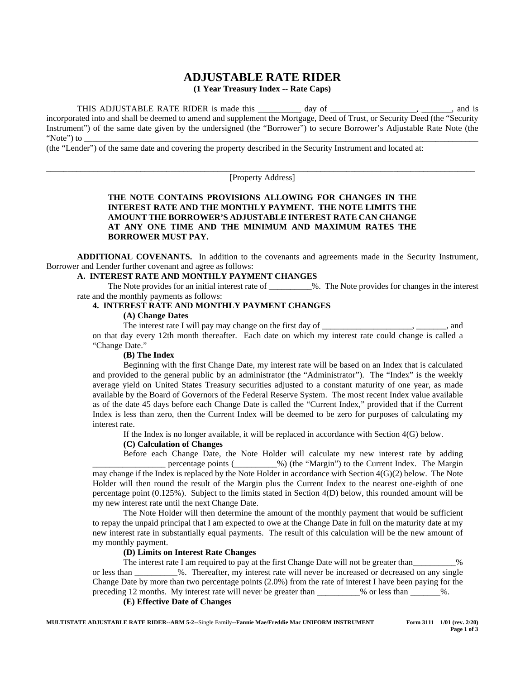# **ADJUSTABLE RATE RIDER**

**(1 Year Treasury Index -- Rate Caps)**

THIS ADJUSTABLE RATE RIDER is made this \_\_\_\_\_\_\_\_\_ day of \_\_\_\_\_\_\_\_\_\_\_\_\_\_\_\_\_\_, \_\_\_\_\_\_, and is incorporated into and shall be deemed to amend and supplement the Mortgage, Deed of Trust, or Security Deed (the "Security Instrument") of the same date given by the undersigned (the "Borrower") to secure Borrower's Adjustable Rate Note (the "Note") to \_\_\_\_\_\_\_\_\_\_\_\_\_\_\_\_\_\_\_\_\_\_\_\_\_\_\_\_\_\_\_\_\_\_\_\_\_\_\_\_\_\_\_\_\_\_\_\_\_\_\_\_\_\_\_\_\_\_\_\_\_\_\_\_\_\_\_\_\_\_\_\_\_\_\_\_\_\_\_\_\_\_\_\_\_\_\_\_\_\_\_\_

(the "Lender") of the same date and covering the property described in the Security Instrument and located at:

\_\_\_\_\_\_\_\_\_\_\_\_\_\_\_\_\_\_\_\_\_\_\_\_\_\_\_\_\_\_\_\_\_\_\_\_\_\_\_\_\_\_\_\_\_\_\_\_\_\_\_\_\_\_\_\_\_\_\_\_\_\_\_\_\_\_\_\_\_\_\_\_\_\_\_\_\_\_\_\_\_\_\_\_\_\_\_\_\_\_\_\_\_\_\_\_\_\_\_\_ [Property Address]

# **THE NOTE CONTAINS PROVISIONS ALLOWING FOR CHANGES IN THE INTEREST RATE AND THE MONTHLY PAYMENT. THE NOTE LIMITS THE AMOUNT THE BORROWER'S ADJUSTABLE INTEREST RATE CAN CHANGE AT ANY ONE TIME AND THE MINIMUM AND MAXIMUM RATES THE BORROWER MUST PAY.**

**ADDITIONAL COVENANTS.** In addition to the covenants and agreements made in the Security Instrument, Borrower and Lender further covenant and agree as follows:

#### **A. INTEREST RATE AND MONTHLY PAYMENT CHANGES**

The Note provides for an initial interest rate of \_\_\_\_\_\_\_\_\_\_%. The Note provides for changes in the interest rate and the monthly payments as follows:

#### **4. INTEREST RATE AND MONTHLY PAYMENT CHANGES**

### **(A) Change Dates**

The interest rate I will pay may change on the first day of \_\_\_\_\_\_\_\_\_\_\_\_\_\_\_\_\_\_\_\_\_ on that day every 12th month thereafter. Each date on which my interest rate could change is called a "Change Date."

#### **(B) The Index**

Beginning with the first Change Date, my interest rate will be based on an Index that is calculated and provided to the general public by an administrator (the "Administrator"). The "Index" is the weekly average yield on United States Treasury securities adjusted to a constant maturity of one year, as made available by the Board of Governors of the Federal Reserve System. The most recent Index value available as of the date 45 days before each Change Date is called the "Current Index," provided that if the Current Index is less than zero, then the Current Index will be deemed to be zero for purposes of calculating my interest rate.

If the Index is no longer available, it will be replaced in accordance with Section 4(G) below.

#### **(C) Calculation of Changes**

Before each Change Date, the Note Holder will calculate my new interest rate by adding percentage points ( $\%$ ) (the "Margin") to the Current Index. The Margin may change if the Index is replaced by the Note Holder in accordance with Section 4(G)(2) below. The Note Holder will then round the result of the Margin plus the Current Index to the nearest one-eighth of one percentage point (0.125%). Subject to the limits stated in Section 4(D) below, this rounded amount will be my new interest rate until the next Change Date.

The Note Holder will then determine the amount of the monthly payment that would be sufficient to repay the unpaid principal that I am expected to owe at the Change Date in full on the maturity date at my new interest rate in substantially equal payments. The result of this calculation will be the new amount of my monthly payment.

# **(D) Limits on Interest Rate Changes**

The interest rate I am required to pay at the first Change Date will not be greater than  $\%$ or less than \_\_\_\_\_\_\_\_\_\_%. Thereafter, my interest rate will never be increased or decreased on any single Change Date by more than two percentage points (2.0%) from the rate of interest I have been paying for the preceding 12 months. My interest rate will never be greater than \_\_\_\_\_\_\_\_% or less than \_\_\_\_\_\_%.

**(E) Effective Date of Changes**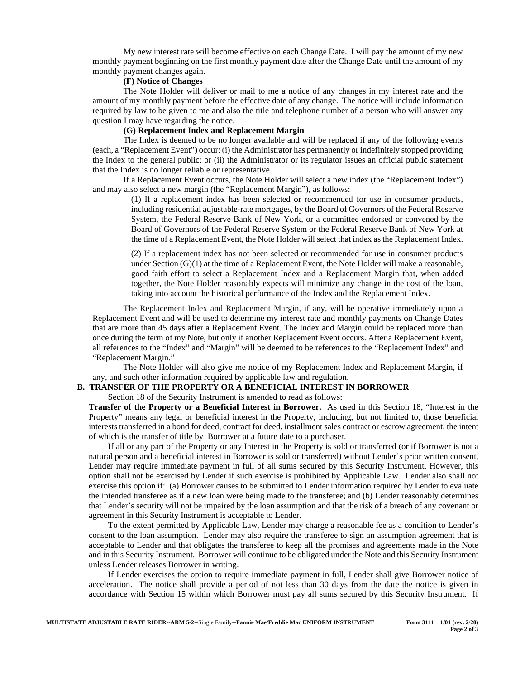My new interest rate will become effective on each Change Date. I will pay the amount of my new monthly payment beginning on the first monthly payment date after the Change Date until the amount of my monthly payment changes again.

#### **(F) Notice of Changes**

The Note Holder will deliver or mail to me a notice of any changes in my interest rate and the amount of my monthly payment before the effective date of any change. The notice will include information required by law to be given to me and also the title and telephone number of a person who will answer any question I may have regarding the notice.

#### **(G) Replacement Index and Replacement Margin**

The Index is deemed to be no longer available and will be replaced if any of the following events (each, a "Replacement Event") occur: (i) the Administrator has permanently or indefinitely stopped providing the Index to the general public; or (ii) the Administrator or its regulator issues an official public statement that the Index is no longer reliable or representative.

If a Replacement Event occurs, the Note Holder will select a new index (the "Replacement Index") and may also select a new margin (the "Replacement Margin"), as follows:

> (1) If a replacement index has been selected or recommended for use in consumer products, including residential adjustable-rate mortgages, by the Board of Governors of the Federal Reserve System, the Federal Reserve Bank of New York, or a committee endorsed or convened by the Board of Governors of the Federal Reserve System or the Federal Reserve Bank of New York at the time of a Replacement Event, the Note Holder will select that index as the Replacement Index.

> (2) If a replacement index has not been selected or recommended for use in consumer products under Section (G)(1) at the time of a Replacement Event, the Note Holder will make a reasonable, good faith effort to select a Replacement Index and a Replacement Margin that, when added together, the Note Holder reasonably expects will minimize any change in the cost of the loan, taking into account the historical performance of the Index and the Replacement Index.

The Replacement Index and Replacement Margin, if any, will be operative immediately upon a Replacement Event and will be used to determine my interest rate and monthly payments on Change Dates that are more than 45 days after a Replacement Event. The Index and Margin could be replaced more than once during the term of my Note, but only if another Replacement Event occurs. After a Replacement Event, all references to the "Index" and "Margin" will be deemed to be references to the "Replacement Index" and "Replacement Margin."

The Note Holder will also give me notice of my Replacement Index and Replacement Margin, if any, and such other information required by applicable law and regulation.

#### **B. TRANSFER OF THE PROPERTY OR A BENEFICIAL INTEREST IN BORROWER**

Section 18 of the Security Instrument is amended to read as follows:

**Transfer of the Property or a Beneficial Interest in Borrower.** As used in this Section 18, "Interest in the Property" means any legal or beneficial interest in the Property, including, but not limited to, those beneficial interests transferred in a bond for deed, contract for deed, installment sales contract or escrow agreement, the intent of which is the transfer of title by Borrower at a future date to a purchaser.

If all or any part of the Property or any Interest in the Property is sold or transferred (or if Borrower is not a natural person and a beneficial interest in Borrower is sold or transferred) without Lender's prior written consent, Lender may require immediate payment in full of all sums secured by this Security Instrument. However, this option shall not be exercised by Lender if such exercise is prohibited by Applicable Law. Lender also shall not exercise this option if: (a) Borrower causes to be submitted to Lender information required by Lender to evaluate the intended transferee as if a new loan were being made to the transferee; and (b) Lender reasonably determines that Lender's security will not be impaired by the loan assumption and that the risk of a breach of any covenant or agreement in this Security Instrument is acceptable to Lender.

To the extent permitted by Applicable Law, Lender may charge a reasonable fee as a condition to Lender's consent to the loan assumption. Lender may also require the transferee to sign an assumption agreement that is acceptable to Lender and that obligates the transferee to keep all the promises and agreements made in the Note and in this Security Instrument. Borrower will continue to be obligated under the Note and this Security Instrument unless Lender releases Borrower in writing.

If Lender exercises the option to require immediate payment in full, Lender shall give Borrower notice of acceleration. The notice shall provide a period of not less than 30 days from the date the notice is given in accordance with Section 15 within which Borrower must pay all sums secured by this Security Instrument. If